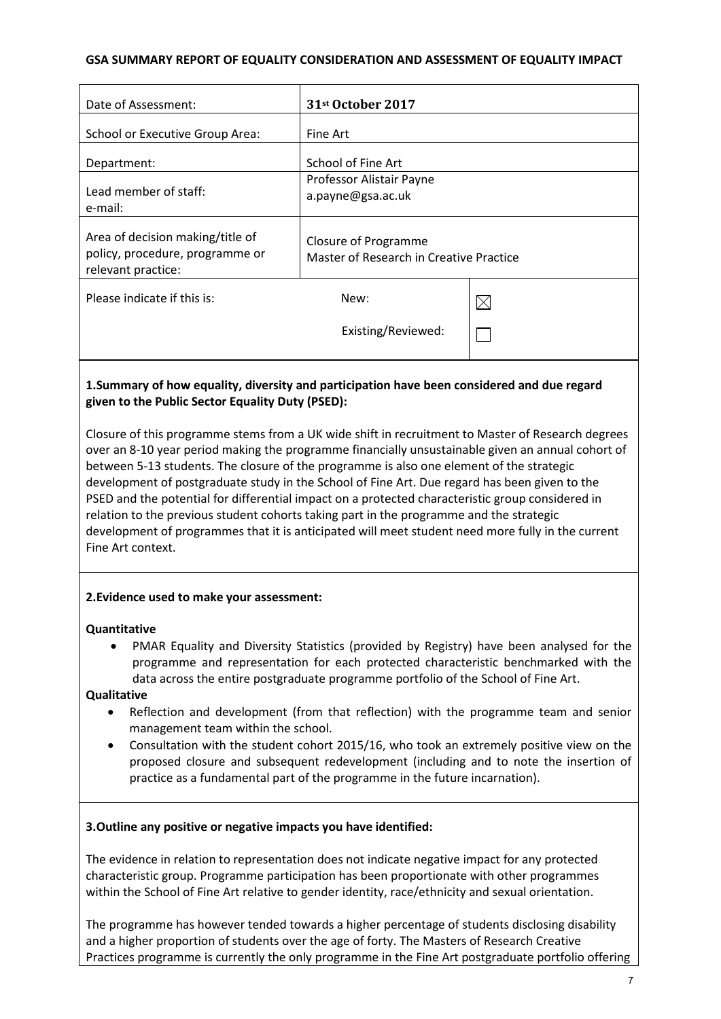#### **GSA SUMMARY REPORT OF EQUALITY CONSIDERATION AND ASSESSMENT OF EQUALITY IMPACT**

| Date of Assessment:                                                                       | 31st October 2017                                                      |             |
|-------------------------------------------------------------------------------------------|------------------------------------------------------------------------|-------------|
| <b>School or Executive Group Area:</b>                                                    | Fine Art                                                               |             |
| Department:                                                                               | School of Fine Art                                                     |             |
| Lead member of staff:<br>e-mail:                                                          | Professor Alistair Payne<br>a.payne@gsa.ac.uk                          |             |
| Area of decision making/title of<br>policy, procedure, programme or<br>relevant practice: | <b>Closure of Programme</b><br>Master of Research in Creative Practice |             |
| Please indicate if this is:                                                               | New:                                                                   | $\boxtimes$ |
|                                                                                           | Existing/Reviewed:                                                     |             |
|                                                                                           |                                                                        |             |

## **1.Summary of how equality, diversity and participation have been considered and due regard given to the Public Sector Equality Duty (PSED):**

Closure of this programme stems from a UK wide shift in recruitment to Master of Research degrees over an 8-10 year period making the programme financially unsustainable given an annual cohort of between 5-13 students. The closure of the programme is also one element of the strategic development of postgraduate study in the School of Fine Art. Due regard has been given to the PSED and the potential for differential impact on a protected characteristic group considered in relation to the previous student cohorts taking part in the programme and the strategic development of programmes that it is anticipated will meet student need more fully in the current Fine Art context.

## **2.Evidence used to make your assessment:**

#### **Quantitative**

• PMAR Equality and Diversity Statistics (provided by Registry) have been analysed for the programme and representation for each protected characteristic benchmarked with the data across the entire postgraduate programme portfolio of the School of Fine Art.

#### **Qualitative**

- Reflection and development (from that reflection) with the programme team and senior management team within the school.
- Consultation with the student cohort 2015/16, who took an extremely positive view on the proposed closure and subsequent redevelopment (including and to note the insertion of practice as a fundamental part of the programme in the future incarnation).

## **3.Outline any positive or negative impacts you have identified:**

The evidence in relation to representation does not indicate negative impact for any protected characteristic group. Programme participation has been proportionate with other programmes within the School of Fine Art relative to gender identity, race/ethnicity and sexual orientation.

The programme has however tended towards a higher percentage of students disclosing disability and a higher proportion of students over the age of forty. The Masters of Research Creative Practices programme is currently the only programme in the Fine Art postgraduate portfolio offering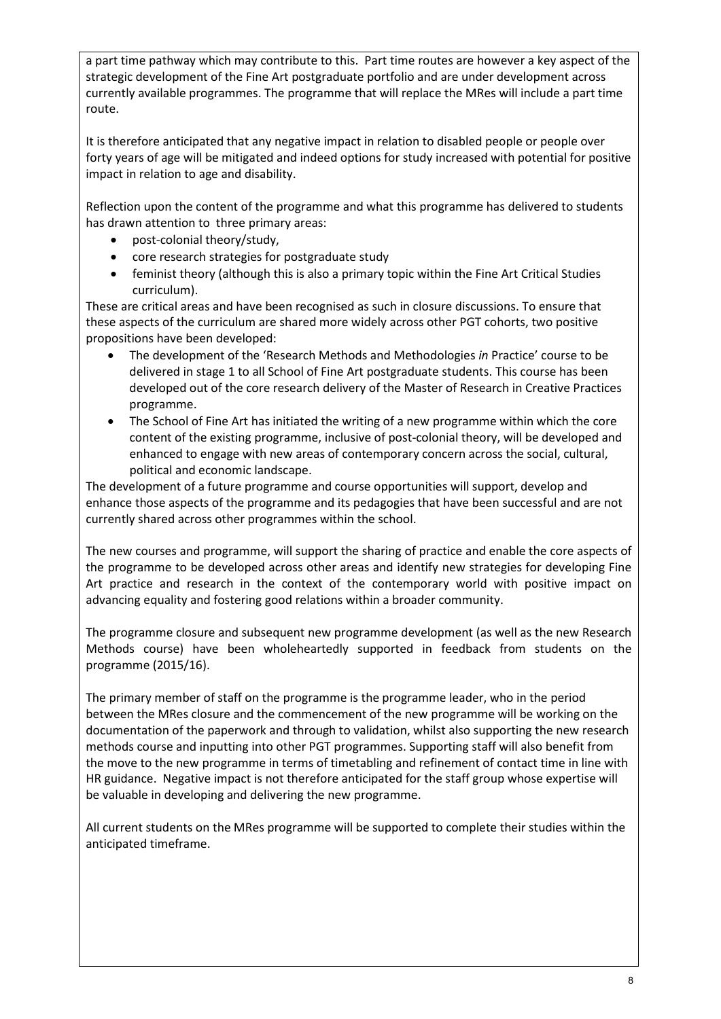a part time pathway which may contribute to this. Part time routes are however a key aspect of the strategic development of the Fine Art postgraduate portfolio and are under development across currently available programmes. The programme that will replace the MRes will include a part time route.

It is therefore anticipated that any negative impact in relation to disabled people or people over forty years of age will be mitigated and indeed options for study increased with potential for positive impact in relation to age and disability.

Reflection upon the content of the programme and what this programme has delivered to students has drawn attention to three primary areas:

- post-colonial theory/study,
- core research strategies for postgraduate study
- feminist theory (although this is also a primary topic within the Fine Art Critical Studies curriculum).

These are critical areas and have been recognised as such in closure discussions. To ensure that these aspects of the curriculum are shared more widely across other PGT cohorts, two positive propositions have been developed:

- The development of the 'Research Methods and Methodologies *in* Practice' course to be delivered in stage 1 to all School of Fine Art postgraduate students. This course has been developed out of the core research delivery of the Master of Research in Creative Practices programme.
- The School of Fine Art has initiated the writing of a new programme within which the core content of the existing programme, inclusive of post-colonial theory, will be developed and enhanced to engage with new areas of contemporary concern across the social, cultural, political and economic landscape.

The development of a future programme and course opportunities will support, develop and enhance those aspects of the programme and its pedagogies that have been successful and are not currently shared across other programmes within the school.

The new courses and programme, will support the sharing of practice and enable the core aspects of the programme to be developed across other areas and identify new strategies for developing Fine Art practice and research in the context of the contemporary world with positive impact on advancing equality and fostering good relations within a broader community.

The programme closure and subsequent new programme development (as well as the new Research Methods course) have been wholeheartedly supported in feedback from students on the programme (2015/16).

The primary member of staff on the programme is the programme leader, who in the period between the MRes closure and the commencement of the new programme will be working on the documentation of the paperwork and through to validation, whilst also supporting the new research methods course and inputting into other PGT programmes. Supporting staff will also benefit from the move to the new programme in terms of timetabling and refinement of contact time in line with HR guidance. Negative impact is not therefore anticipated for the staff group whose expertise will be valuable in developing and delivering the new programme.

All current students on the MRes programme will be supported to complete their studies within the anticipated timeframe.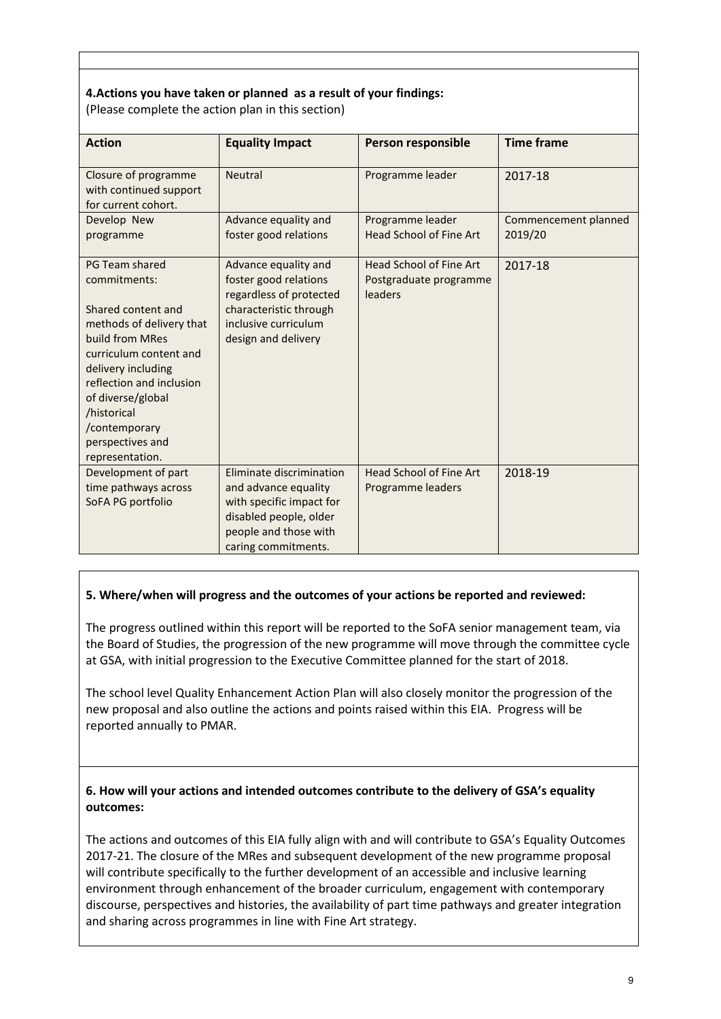## **4.Actions you have taken or planned as a result of your findings:**

(Please complete the action plan in this section)

| <b>Action</b>                                 | <b>Equality Impact</b>                           | Person responsible                | <b>Time frame</b>    |  |
|-----------------------------------------------|--------------------------------------------------|-----------------------------------|----------------------|--|
| Closure of programme                          | <b>Neutral</b>                                   | Programme leader                  | 2017-18              |  |
| with continued support<br>for current cohort. |                                                  |                                   |                      |  |
| Develop New                                   | Advance equality and                             | Programme leader                  | Commencement planned |  |
| programme                                     | foster good relations                            | <b>Head School of Fine Art</b>    | 2019/20              |  |
| PG Team shared                                | Advance equality and                             | Head School of Fine Art           | 2017-18              |  |
| commitments:                                  | foster good relations<br>regardless of protected | Postgraduate programme<br>leaders |                      |  |
| Shared content and                            | characteristic through                           |                                   |                      |  |
| methods of delivery that                      | inclusive curriculum                             |                                   |                      |  |
| build from MRes                               | design and delivery                              |                                   |                      |  |
| curriculum content and                        |                                                  |                                   |                      |  |
| delivery including                            |                                                  |                                   |                      |  |
| reflection and inclusion                      |                                                  |                                   |                      |  |
| of diverse/global<br>/historical              |                                                  |                                   |                      |  |
| /contemporary                                 |                                                  |                                   |                      |  |
| perspectives and                              |                                                  |                                   |                      |  |
| representation.                               |                                                  |                                   |                      |  |
| Development of part                           | Eliminate discrimination                         | <b>Head School of Fine Art</b>    | 2018-19              |  |
| time pathways across                          | and advance equality                             | Programme leaders                 |                      |  |
| SoFA PG portfolio                             | with specific impact for                         |                                   |                      |  |
|                                               | disabled people, older                           |                                   |                      |  |
|                                               | people and those with                            |                                   |                      |  |
|                                               | caring commitments.                              |                                   |                      |  |

## **5. Where/when will progress and the outcomes of your actions be reported and reviewed:**

The progress outlined within this report will be reported to the SoFA senior management team, via the Board of Studies, the progression of the new programme will move through the committee cycle at GSA, with initial progression to the Executive Committee planned for the start of 2018.

The school level Quality Enhancement Action Plan will also closely monitor the progression of the new proposal and also outline the actions and points raised within this EIA. Progress will be reported annually to PMAR.

## **6. How will your actions and intended outcomes contribute to the delivery of GSA's equality outcomes:**

The actions and outcomes of this EIA fully align with and will contribute to GSA's Equality Outcomes 2017-21. The closure of the MRes and subsequent development of the new programme proposal will contribute specifically to the further development of an accessible and inclusive learning environment through enhancement of the broader curriculum, engagement with contemporary discourse, perspectives and histories, the availability of part time pathways and greater integration and sharing across programmes in line with Fine Art strategy.